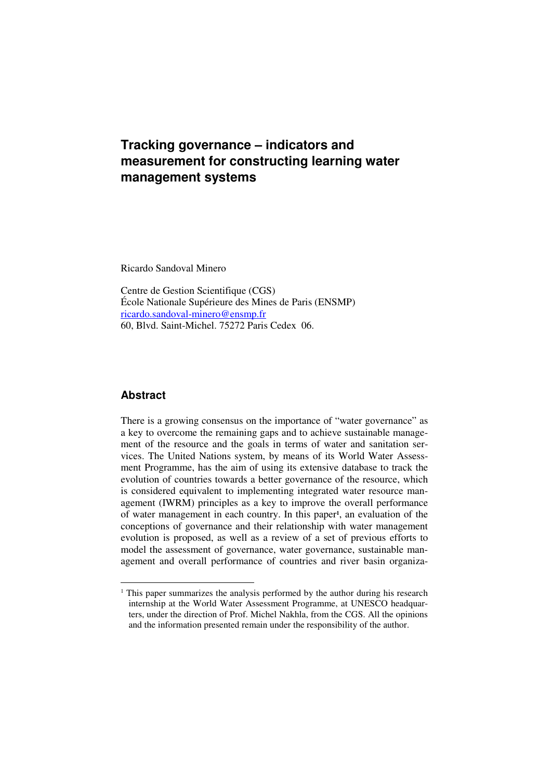# **Tracking governance – indicators and measurement for constructing learning water management systems**

Ricardo Sandoval Minero

Centre de Gestion Scientifique (CGS) École Nationale Supérieure des Mines de Paris (ENSMP) ricardo.sandoval-minero@ensmp.fr 60, Blvd. Saint-Michel. 75272 Paris Cedex 06.

# **Abstract**

There is a growing consensus on the importance of "water governance" as a key to overcome the remaining gaps and to achieve sustainable management of the resource and the goals in terms of water and sanitation services. The United Nations system, by means of its World Water Assessment Programme, has the aim of using its extensive database to track the evolution of countries towards a better governance of the resource, which is considered equivalent to implementing integrated water resource management (IWRM) principles as a key to improve the overall performance of water management in each country. In this paper**<sup>1</sup>** , an evaluation of the conceptions of governance and their relationship with water management evolution is proposed, as well as a review of a set of previous efforts to model the assessment of governance, water governance, sustainable management and overall performance of countries and river basin organiza-

<sup>&</sup>lt;sup>1</sup> This paper summarizes the analysis performed by the author during his research internship at the World Water Assessment Programme, at UNESCO headquarters, under the direction of Prof. Michel Nakhla, from the CGS. All the opinions and the information presented remain under the responsibility of the author.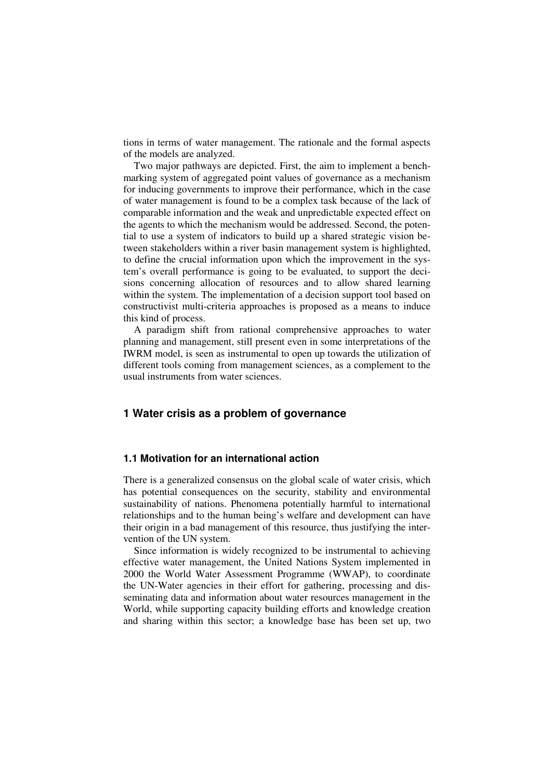tions in terms of water management. The rationale and the formal aspects of the models are analyzed.

Two major pathways are depicted. First, the aim to implement a benchmarking system of aggregated point values of governance as a mechanism for inducing governments to improve their performance, which in the case of water management is found to be a complex task because of the lack of comparable information and the weak and unpredictable expected effect on the agents to which the mechanism would be addressed. Second, the potential to use a system of indicators to build up a shared strategic vision between stakeholders within a river basin management system is highlighted, to define the crucial information upon which the improvement in the system's overall performance is going to be evaluated, to support the decisions concerning allocation of resources and to allow shared learning within the system. The implementation of a decision support tool based on constructivist multi-criteria approaches is proposed as a means to induce this kind of process.

A paradigm shift from rational comprehensive approaches to water planning and management, still present even in some interpretations of the IWRM model, is seen as instrumental to open up towards the utilization of different tools coming from management sciences, as a complement to the usual instruments from water sciences.

## **1 Water crisis as a problem of governance**

#### **1.1 Motivation for an international action**

There is a generalized consensus on the global scale of water crisis, which has potential consequences on the security, stability and environmental sustainability of nations. Phenomena potentially harmful to international relationships and to the human being's welfare and development can have their origin in a bad management of this resource, thus justifying the intervention of the UN system.

Since information is widely recognized to be instrumental to achieving effective water management, the United Nations System implemented in 2000 the World Water Assessment Programme (WWAP), to coordinate the UN-Water agencies in their effort for gathering, processing and disseminating data and information about water resources management in the World, while supporting capacity building efforts and knowledge creation and sharing within this sector; a knowledge base has been set up, two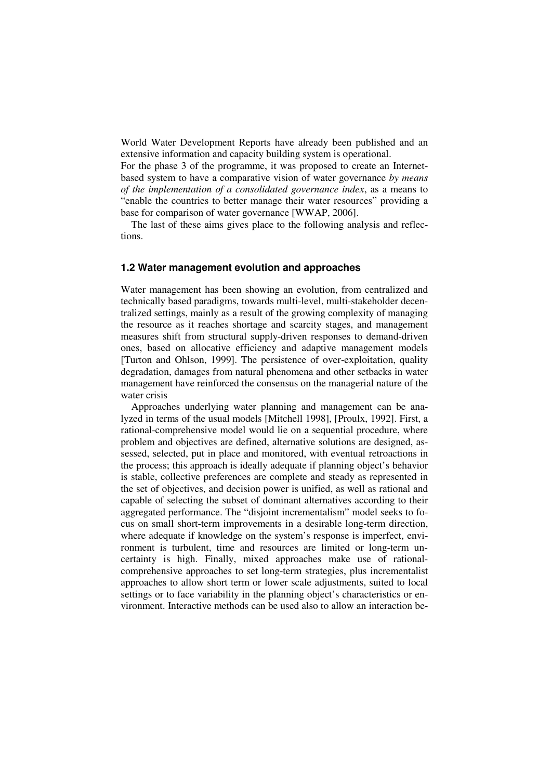World Water Development Reports have already been published and an extensive information and capacity building system is operational.

For the phase 3 of the programme, it was proposed to create an Internetbased system to have a comparative vision of water governance *by means of the implementation of a consolidated governance index*, as a means to "enable the countries to better manage their water resources" providing a base for comparison of water governance [WWAP, 2006].

The last of these aims gives place to the following analysis and reflections.

## **1.2 Water management evolution and approaches**

Water management has been showing an evolution, from centralized and technically based paradigms, towards multi-level, multi-stakeholder decentralized settings, mainly as a result of the growing complexity of managing the resource as it reaches shortage and scarcity stages, and management measures shift from structural supply-driven responses to demand-driven ones, based on allocative efficiency and adaptive management models [Turton and Ohlson, 1999]. The persistence of over-exploitation, quality degradation, damages from natural phenomena and other setbacks in water management have reinforced the consensus on the managerial nature of the water crisis

Approaches underlying water planning and management can be analyzed in terms of the usual models [Mitchell 1998], [Proulx, 1992]. First, a rational-comprehensive model would lie on a sequential procedure, where problem and objectives are defined, alternative solutions are designed, assessed, selected, put in place and monitored, with eventual retroactions in the process; this approach is ideally adequate if planning object's behavior is stable, collective preferences are complete and steady as represented in the set of objectives, and decision power is unified, as well as rational and capable of selecting the subset of dominant alternatives according to their aggregated performance. The "disjoint incrementalism" model seeks to focus on small short-term improvements in a desirable long-term direction, where adequate if knowledge on the system's response is imperfect, environment is turbulent, time and resources are limited or long-term uncertainty is high. Finally, mixed approaches make use of rationalcomprehensive approaches to set long-term strategies, plus incrementalist approaches to allow short term or lower scale adjustments, suited to local settings or to face variability in the planning object's characteristics or environment. Interactive methods can be used also to allow an interaction be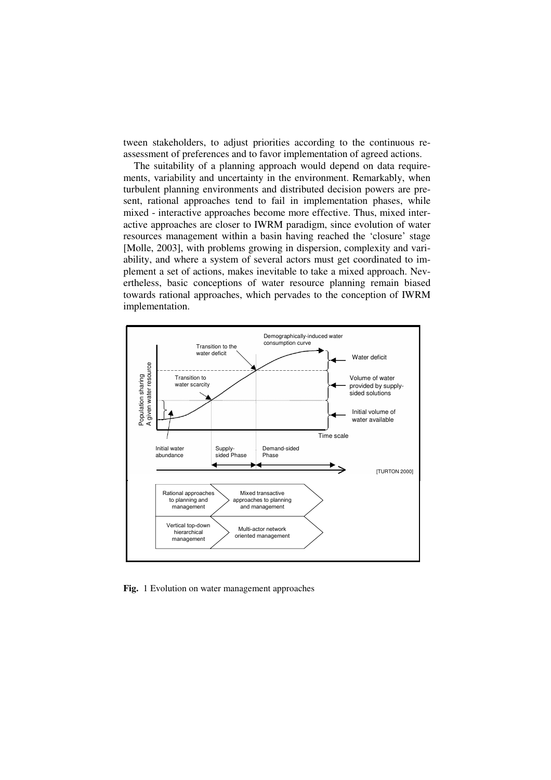tween stakeholders, to adjust priorities according to the continuous reassessment of preferences and to favor implementation of agreed actions.

The suitability of a planning approach would depend on data requirements, variability and uncertainty in the environment. Remarkably, when turbulent planning environments and distributed decision powers are present, rational approaches tend to fail in implementation phases, while mixed - interactive approaches become more effective. Thus, mixed interactive approaches are closer to IWRM paradigm, since evolution of water resources management within a basin having reached the 'closure' stage [Molle, 2003], with problems growing in dispersion, complexity and variability, and where a system of several actors must get coordinated to implement a set of actions, makes inevitable to take a mixed approach. Nevertheless, basic conceptions of water resource planning remain biased towards rational approaches, which pervades to the conception of IWRM implementation.



**Fig.** 1 Evolution on water management approaches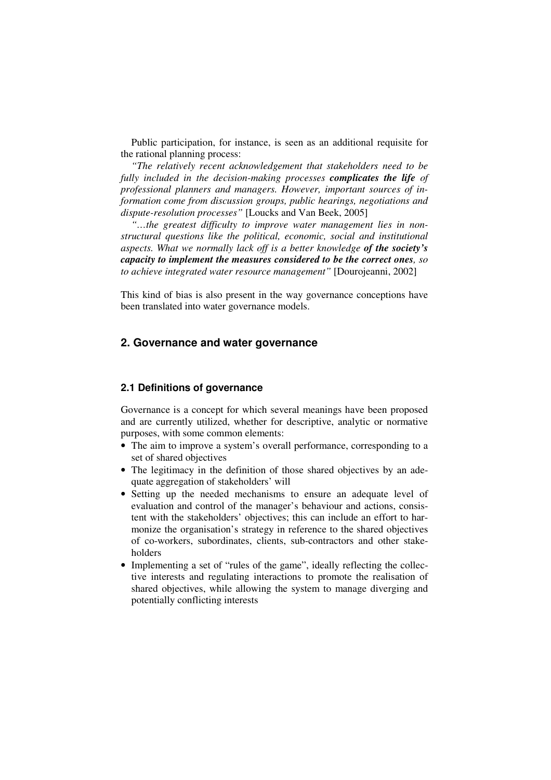Public participation, for instance, is seen as an additional requisite for the rational planning process:

*"The relatively recent acknowledgement that stakeholders need to be fully included in the decision-making processes complicates the life of professional planners and managers. However, important sources of information come from discussion groups, public hearings, negotiations and dispute-resolution processes"* [Loucks and Van Beek, 2005]

*"…the greatest difficulty to improve water management lies in nonstructural questions like the political, economic, social and institutional aspects. What we normally lack off is a better knowledge of the society's capacity to implement the measures considered to be the correct ones, so to achieve integrated water resource management"* [Dourojeanni, 2002]

This kind of bias is also present in the way governance conceptions have been translated into water governance models.

# **2. Governance and water governance**

#### **2.1 Definitions of governance**

Governance is a concept for which several meanings have been proposed and are currently utilized, whether for descriptive, analytic or normative purposes, with some common elements:

- The aim to improve a system's overall performance, corresponding to a set of shared objectives
- The legitimacy in the definition of those shared objectives by an adequate aggregation of stakeholders' will
- Setting up the needed mechanisms to ensure an adequate level of evaluation and control of the manager's behaviour and actions, consistent with the stakeholders' objectives; this can include an effort to harmonize the organisation's strategy in reference to the shared objectives of co-workers, subordinates, clients, sub-contractors and other stakeholders
- Implementing a set of "rules of the game", ideally reflecting the collective interests and regulating interactions to promote the realisation of shared objectives, while allowing the system to manage diverging and potentially conflicting interests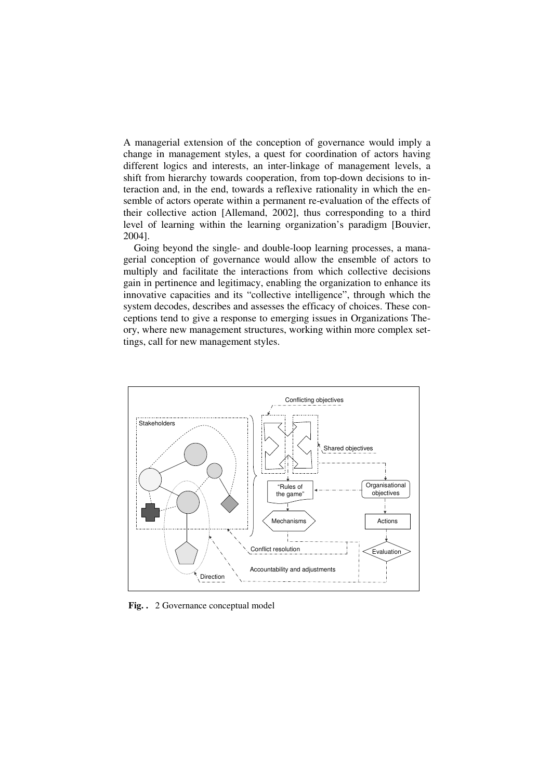A managerial extension of the conception of governance would imply a change in management styles, a quest for coordination of actors having different logics and interests, an inter-linkage of management levels, a shift from hierarchy towards cooperation, from top-down decisions to interaction and, in the end, towards a reflexive rationality in which the ensemble of actors operate within a permanent re-evaluation of the effects of their collective action [Allemand, 2002], thus corresponding to a third level of learning within the learning organization's paradigm [Bouvier, 2004].

Going beyond the single- and double-loop learning processes, a managerial conception of governance would allow the ensemble of actors to multiply and facilitate the interactions from which collective decisions gain in pertinence and legitimacy, enabling the organization to enhance its innovative capacities and its "collective intelligence", through which the system decodes, describes and assesses the efficacy of choices. These conceptions tend to give a response to emerging issues in Organizations Theory, where new management structures, working within more complex settings, call for new management styles.



**Fig. .** 2 Governance conceptual model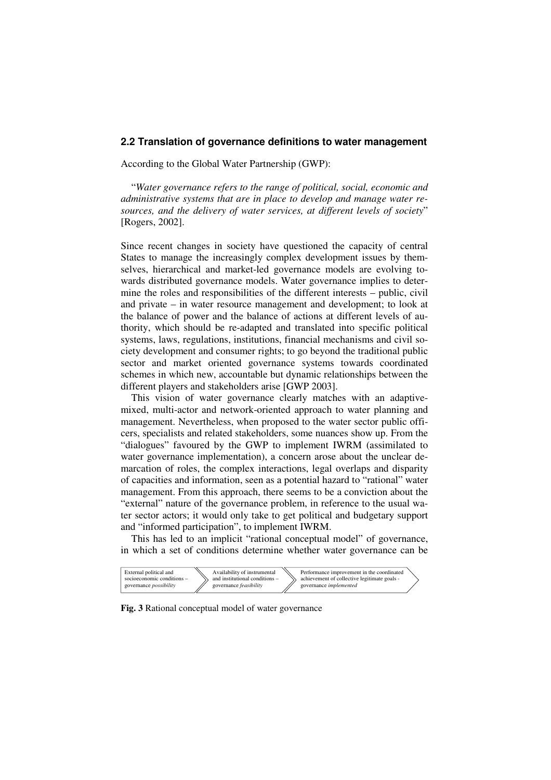## **2.2 Translation of governance definitions to water management**

According to the Global Water Partnership (GWP):

"*Water governance refers to the range of political, social, economic and administrative systems that are in place to develop and manage water resources, and the delivery of water services, at different levels of society*" [Rogers, 2002].

Since recent changes in society have questioned the capacity of central States to manage the increasingly complex development issues by themselves, hierarchical and market-led governance models are evolving towards distributed governance models. Water governance implies to determine the roles and responsibilities of the different interests – public, civil and private – in water resource management and development; to look at the balance of power and the balance of actions at different levels of authority, which should be re-adapted and translated into specific political systems, laws, regulations, institutions, financial mechanisms and civil society development and consumer rights; to go beyond the traditional public sector and market oriented governance systems towards coordinated schemes in which new, accountable but dynamic relationships between the different players and stakeholders arise [GWP 2003].

This vision of water governance clearly matches with an adaptivemixed, multi-actor and network-oriented approach to water planning and management. Nevertheless, when proposed to the water sector public officers, specialists and related stakeholders, some nuances show up. From the "dialogues" favoured by the GWP to implement IWRM (assimilated to water governance implementation), a concern arose about the unclear demarcation of roles, the complex interactions, legal overlaps and disparity of capacities and information, seen as a potential hazard to "rational" water management. From this approach, there seems to be a conviction about the "external" nature of the governance problem, in reference to the usual water sector actors; it would only take to get political and budgetary support and "informed participation", to implement IWRM.

This has led to an implicit "rational conceptual model" of governance, in which a set of conditions determine whether water governance can be



**Fig. 3** Rational conceptual model of water governance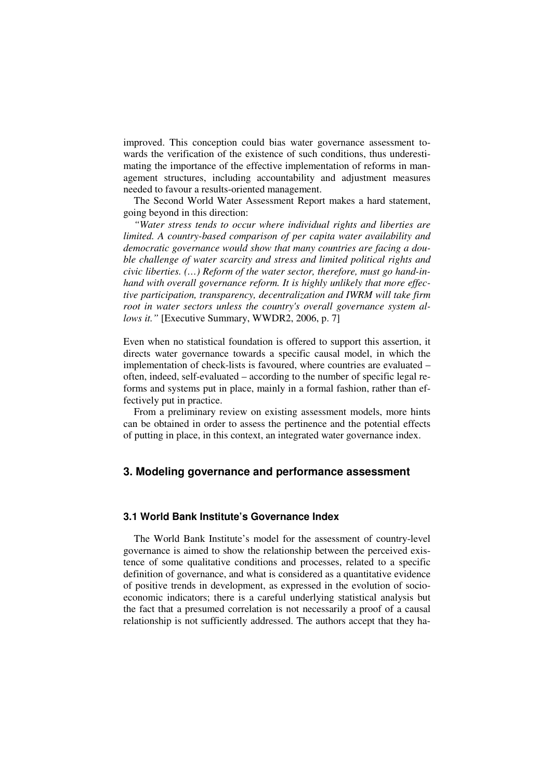improved. This conception could bias water governance assessment towards the verification of the existence of such conditions, thus underestimating the importance of the effective implementation of reforms in management structures, including accountability and adjustment measures needed to favour a results-oriented management.

The Second World Water Assessment Report makes a hard statement, going beyond in this direction:

*"Water stress tends to occur where individual rights and liberties are limited. A country-based comparison of per capita water availability and democratic governance would show that many countries are facing a double challenge of water scarcity and stress and limited political rights and civic liberties. (…) Reform of the water sector, therefore, must go hand-inhand with overall governance reform. It is highly unlikely that more effective participation, transparency, decentralization and IWRM will take firm root in water sectors unless the country's overall governance system allows it.*" [Executive Summary, WWDR2, 2006, p. 7]

Even when no statistical foundation is offered to support this assertion, it directs water governance towards a specific causal model, in which the implementation of check-lists is favoured, where countries are evaluated – often, indeed, self-evaluated – according to the number of specific legal reforms and systems put in place, mainly in a formal fashion, rather than effectively put in practice.

From a preliminary review on existing assessment models, more hints can be obtained in order to assess the pertinence and the potential effects of putting in place, in this context, an integrated water governance index.

# **3. Modeling governance and performance assessment**

#### **3.1 World Bank Institute's Governance Index**

The World Bank Institute's model for the assessment of country-level governance is aimed to show the relationship between the perceived existence of some qualitative conditions and processes, related to a specific definition of governance, and what is considered as a quantitative evidence of positive trends in development, as expressed in the evolution of socioeconomic indicators; there is a careful underlying statistical analysis but the fact that a presumed correlation is not necessarily a proof of a causal relationship is not sufficiently addressed. The authors accept that they ha-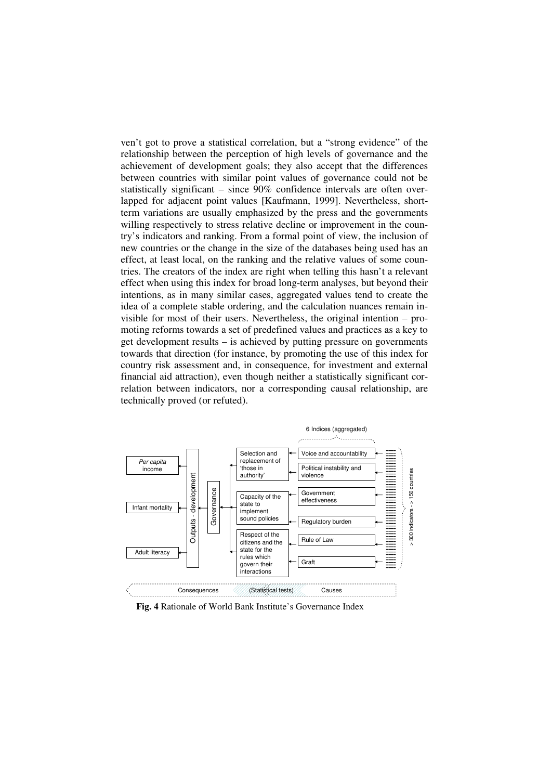ven't got to prove a statistical correlation, but a "strong evidence" of the relationship between the perception of high levels of governance and the achievement of development goals; they also accept that the differences between countries with similar point values of governance could not be statistically significant – since  $90\%$  confidence intervals are often overlapped for adjacent point values [Kaufmann, 1999]. Nevertheless, shortterm variations are usually emphasized by the press and the governments willing respectively to stress relative decline or improvement in the country's indicators and ranking. From a formal point of view, the inclusion of new countries or the change in the size of the databases being used has an effect, at least local, on the ranking and the relative values of some countries. The creators of the index are right when telling this hasn't a relevant effect when using this index for broad long-term analyses, but beyond their intentions, as in many similar cases, aggregated values tend to create the idea of a complete stable ordering, and the calculation nuances remain invisible for most of their users. Nevertheless, the original intention – promoting reforms towards a set of predefined values and practices as a key to get development results – is achieved by putting pressure on governments towards that direction (for instance, by promoting the use of this index for country risk assessment and, in consequence, for investment and external financial aid attraction), even though neither a statistically significant correlation between indicators, nor a corresponding causal relationship, are technically proved (or refuted).



**Fig. 4** Rationale of World Bank Institute's Governance Index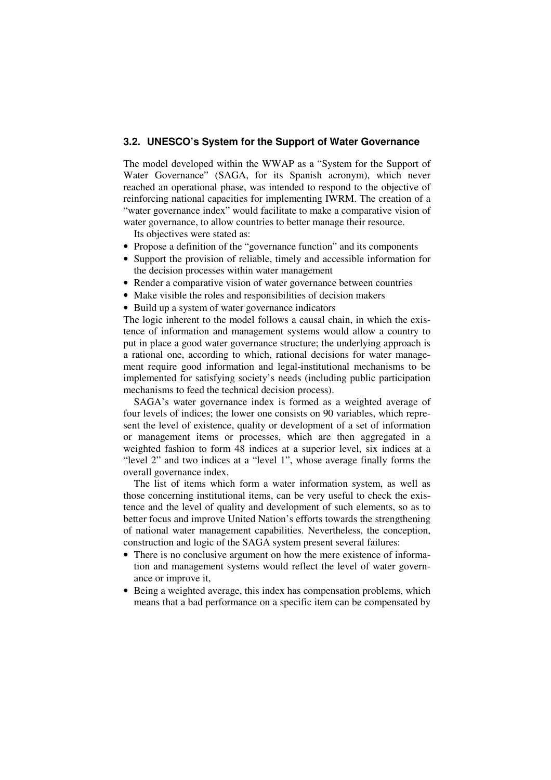## **3.2. UNESCO's System for the Support of Water Governance**

The model developed within the WWAP as a "System for the Support of Water Governance" (SAGA, for its Spanish acronym), which never reached an operational phase, was intended to respond to the objective of reinforcing national capacities for implementing IWRM. The creation of a "water governance index" would facilitate to make a comparative vision of water governance, to allow countries to better manage their resource.

Its objectives were stated as:

- Propose a definition of the "governance function" and its components
- Support the provision of reliable, timely and accessible information for the decision processes within water management
- Render a comparative vision of water governance between countries
- Make visible the roles and responsibilities of decision makers
- Build up a system of water governance indicators

The logic inherent to the model follows a causal chain, in which the existence of information and management systems would allow a country to put in place a good water governance structure; the underlying approach is a rational one, according to which, rational decisions for water management require good information and legal-institutional mechanisms to be implemented for satisfying society's needs (including public participation mechanisms to feed the technical decision process).

SAGA's water governance index is formed as a weighted average of four levels of indices; the lower one consists on 90 variables, which represent the level of existence, quality or development of a set of information or management items or processes, which are then aggregated in a weighted fashion to form 48 indices at a superior level, six indices at a "level 2" and two indices at a "level 1", whose average finally forms the overall governance index.

The list of items which form a water information system, as well as those concerning institutional items, can be very useful to check the existence and the level of quality and development of such elements, so as to better focus and improve United Nation's efforts towards the strengthening of national water management capabilities. Nevertheless, the conception, construction and logic of the SAGA system present several failures:

- There is no conclusive argument on how the mere existence of information and management systems would reflect the level of water governance or improve it,
- Being a weighted average, this index has compensation problems, which means that a bad performance on a specific item can be compensated by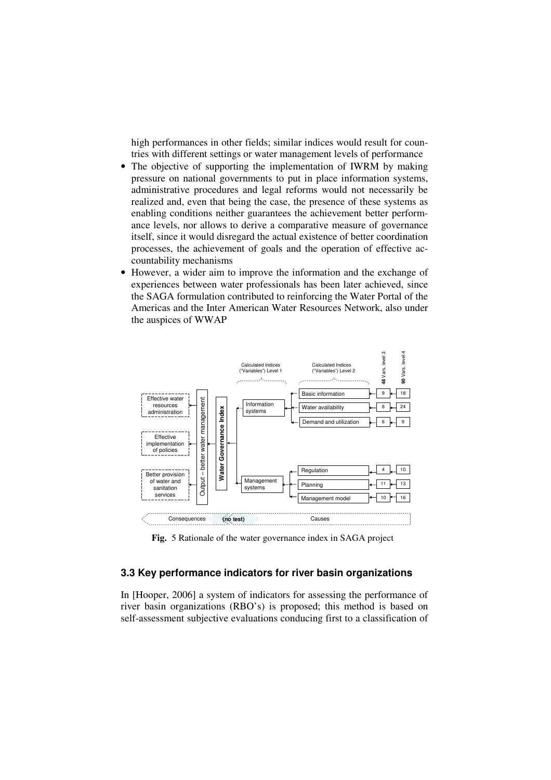high performances in other fields; similar indices would result for countries with different settings or water management levels of performance

- The objective of supporting the implementation of IWRM by making pressure on national governments to put in place information systems, administrative procedures and legal reforms would not necessarily be realized and, even that being the case, the presence of these systems as enabling conditions neither guarantees the achievement better performance levels, nor allows to derive a comparative measure of governance itself, since it would disregard the actual existence of better coordination processes, the achievement of goals and the operation of effective accountability mechanisms
- However, a wider aim to improve the information and the exchange of experiences between water professionals has been later achieved, since the SAGA formulation contributed to reinforcing the Water Portal of the Americas and the Inter American Water Resources Network, also under the auspices of WWAP



**Fig.** 5 Rationale of the water governance index in SAGA project

## **3.3 Key performance indicators for river basin organizations**

In [Hooper, 2006] a system of indicators for assessing the performance of river basin organizations (RBO's) is proposed; this method is based on self-assessment subjective evaluations conducing first to a classification of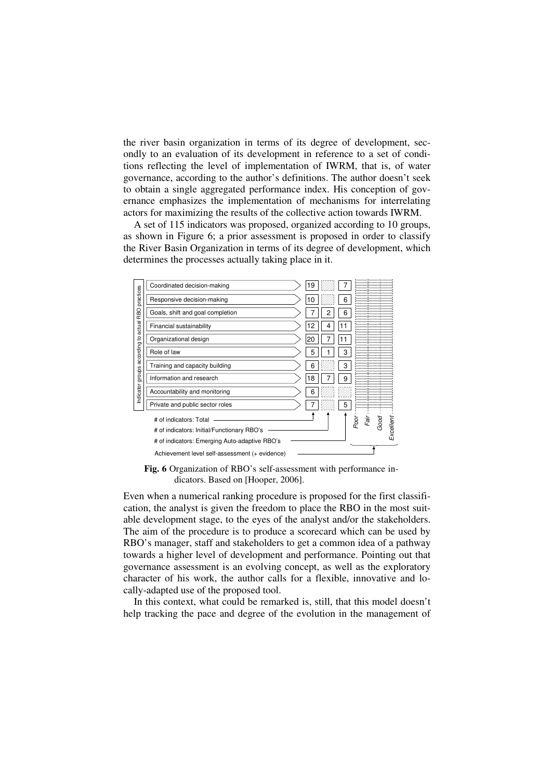the river basin organization in terms of its degree of development, secondly to an evaluation of its development in reference to a set of conditions reflecting the level of implementation of IWRM, that is, of water governance, according to the author's definitions. The author doesn't seek to obtain a single aggregated performance index. His conception of governance emphasizes the implementation of mechanisms for interrelating actors for maximizing the results of the collective action towards IWRM.

A set of 115 indicators was proposed, organized according to 10 groups, as shown in Figure 6; a prior assessment is proposed in order to classify the River Basin Organization in terms of its degree of development, which determines the processes actually taking place in it.



**Fig. 6** Organization of RBO's self-assessment with performance indicators. Based on [Hooper, 2006].

Even when a numerical ranking procedure is proposed for the first classification, the analyst is given the freedom to place the RBO in the most suitable development stage, to the eyes of the analyst and/or the stakeholders. The aim of the procedure is to produce a scorecard which can be used by RBO's manager, staff and stakeholders to get a common idea of a pathway towards a higher level of development and performance. Pointing out that governance assessment is an evolving concept, as well as the exploratory character of his work, the author calls for a flexible, innovative and locally-adapted use of the proposed tool.

In this context, what could be remarked is, still, that this model doesn't help tracking the pace and degree of the evolution in the management of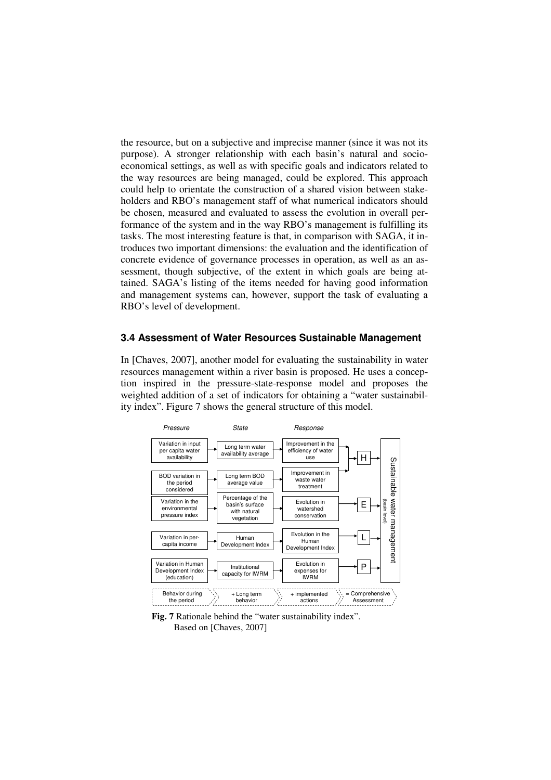the resource, but on a subjective and imprecise manner (since it was not its purpose). A stronger relationship with each basin's natural and socioeconomical settings, as well as with specific goals and indicators related to the way resources are being managed, could be explored. This approach could help to orientate the construction of a shared vision between stakeholders and RBO's management staff of what numerical indicators should be chosen, measured and evaluated to assess the evolution in overall performance of the system and in the way RBO's management is fulfilling its tasks. The most interesting feature is that, in comparison with SAGA, it introduces two important dimensions: the evaluation and the identification of concrete evidence of governance processes in operation, as well as an assessment, though subjective, of the extent in which goals are being attained. SAGA's listing of the items needed for having good information and management systems can, however, support the task of evaluating a RBO's level of development.

#### **3.4 Assessment of Water Resources Sustainable Management**

In [Chaves, 2007], another model for evaluating the sustainability in water resources management within a river basin is proposed. He uses a conception inspired in the pressure-state-response model and proposes the weighted addition of a set of indicators for obtaining a "water sustainability index". Figure 7 shows the general structure of this model.



**Fig. 7** Rationale behind the "water sustainability index". Based on [Chaves, 2007]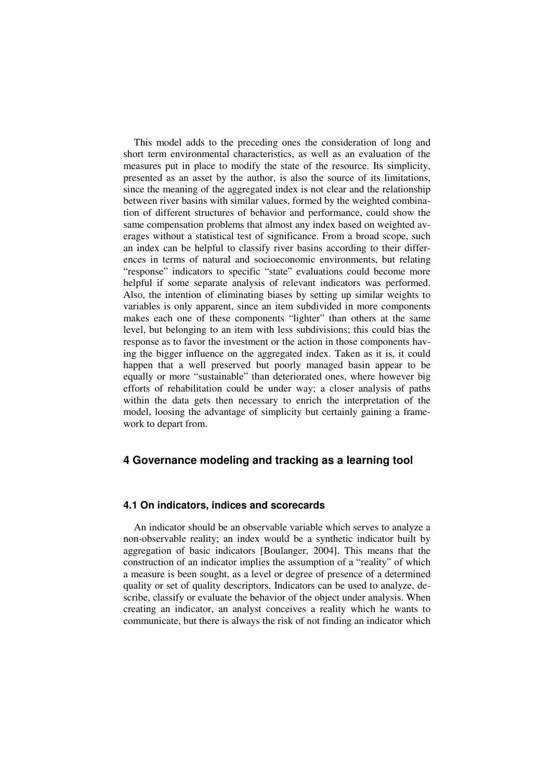This model adds to the preceding ones the consideration of long and short term environmental characteristics, as well as an evaluation of the measures put in place to modify the state of the resource. Its simplicity, presented as an asset by the author, is also the source of its limitations, since the meaning of the aggregated index is not clear and the relationship between river basins with similar values, formed by the weighted combination of different structures of behavior and performance, could show the same compensation problems that almost any index based on weighted averages without a statistical test of significance. From a broad scope, such an index can be helpful to classify river basins according to their differences in terms of natural and socioeconomic environments, but relating "response" indicators to specific "state" evaluations could become more helpful if some separate analysis of relevant indicators was performed. Also, the intention of eliminating biases by setting up similar weights to variables is only apparent, since an item subdivided in more components makes each one of these components "lighter" than others at the same level, but belonging to an item with less subdivisions; this could bias the response as to favor the investment or the action in those components having the bigger influence on the aggregated index. Taken as it is, it could happen that a well preserved but poorly managed basin appear to be equally or more "sustainable" than deteriorated ones, where however big efforts of rehabilitation could be under way; a closer analysis of paths within the data gets then necessary to enrich the interpretation of the model, loosing the advantage of simplicity but certainly gaining a framework to depart from.

## **4 Governance modeling and tracking as a learning tool**

## **4.1 On indicators, indices and scorecards**

An indicator should be an observable variable which serves to analyze a non-observable reality; an index would be a synthetic indicator built by aggregation of basic indicators [Boulanger, 2004]. This means that the construction of an indicator implies the assumption of a "reality" of which a measure is been sought, as a level or degree of presence of a determined quality or set of quality descriptors. Indicators can be used to analyze, describe, classify or evaluate the behavior of the object under analysis. When creating an indicator, an analyst conceives a reality which he wants to communicate, but there is always the risk of not finding an indicator which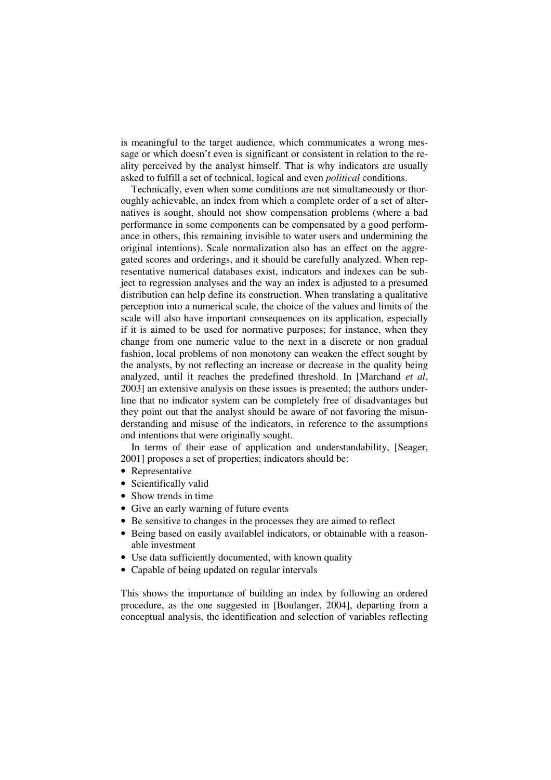is meaningful to the target audience, which communicates a wrong message or which doesn't even is significant or consistent in relation to the reality perceived by the analyst himself. That is why indicators are usually asked to fulfill a set of technical, logical and even *political* conditions.

Technically, even when some conditions are not simultaneously or thoroughly achievable, an index from which a complete order of a set of alternatives is sought, should not show compensation problems (where a bad performance in some components can be compensated by a good performance in others, this remaining invisible to water users and undermining the original intentions). Scale normalization also has an effect on the aggregated scores and orderings, and it should be carefully analyzed. When representative numerical databases exist, indicators and indexes can be subject to regression analyses and the way an index is adjusted to a presumed distribution can help define its construction. When translating a qualitative perception into a numerical scale, the choice of the values and limits of the scale will also have important consequences on its application, especially if it is aimed to be used for normative purposes; for instance, when they change from one numeric value to the next in a discrete or non gradual fashion, local problems of non monotony can weaken the effect sought by the analysts, by not reflecting an increase or decrease in the quality being analyzed, until it reaches the predefined threshold. In [Marchand *et al*, 2003] an extensive analysis on these issues is presented; the authors underline that no indicator system can be completely free of disadvantages but they point out that the analyst should be aware of not favoring the misunderstanding and misuse of the indicators, in reference to the assumptions and intentions that were originally sought.

In terms of their ease of application and understandability, [Seager, 2001] proposes a set of properties; indicators should be:

- Representative
- Scientifically valid
- Show trends in time
- Give an early warning of future events
- Be sensitive to changes in the processes they are aimed to reflect
- Being based on easily availablel indicators, or obtainable with a reasonable investment
- Use data sufficiently documented, with known quality
- Capable of being updated on regular intervals

This shows the importance of building an index by following an ordered procedure, as the one suggested in [Boulanger, 2004], departing from a conceptual analysis, the identification and selection of variables reflecting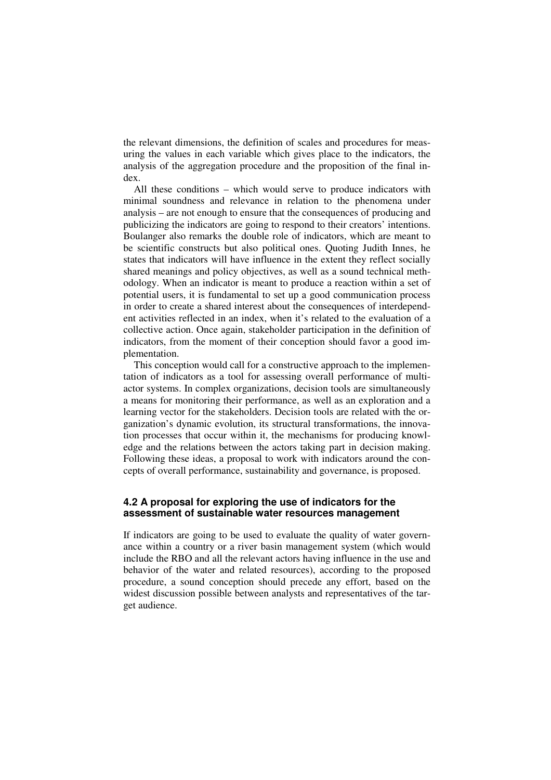the relevant dimensions, the definition of scales and procedures for measuring the values in each variable which gives place to the indicators, the analysis of the aggregation procedure and the proposition of the final index.

All these conditions – which would serve to produce indicators with minimal soundness and relevance in relation to the phenomena under analysis – are not enough to ensure that the consequences of producing and publicizing the indicators are going to respond to their creators' intentions. Boulanger also remarks the double role of indicators, which are meant to be scientific constructs but also political ones. Quoting Judith Innes, he states that indicators will have influence in the extent they reflect socially shared meanings and policy objectives, as well as a sound technical methodology. When an indicator is meant to produce a reaction within a set of potential users, it is fundamental to set up a good communication process in order to create a shared interest about the consequences of interdependent activities reflected in an index, when it's related to the evaluation of a collective action. Once again, stakeholder participation in the definition of indicators, from the moment of their conception should favor a good implementation.

This conception would call for a constructive approach to the implementation of indicators as a tool for assessing overall performance of multiactor systems. In complex organizations, decision tools are simultaneously a means for monitoring their performance, as well as an exploration and a learning vector for the stakeholders. Decision tools are related with the organization's dynamic evolution, its structural transformations, the innovation processes that occur within it, the mechanisms for producing knowledge and the relations between the actors taking part in decision making. Following these ideas, a proposal to work with indicators around the concepts of overall performance, sustainability and governance, is proposed.

## **4.2 A proposal for exploring the use of indicators for the assessment of sustainable water resources management**

If indicators are going to be used to evaluate the quality of water governance within a country or a river basin management system (which would include the RBO and all the relevant actors having influence in the use and behavior of the water and related resources), according to the proposed procedure, a sound conception should precede any effort, based on the widest discussion possible between analysts and representatives of the target audience.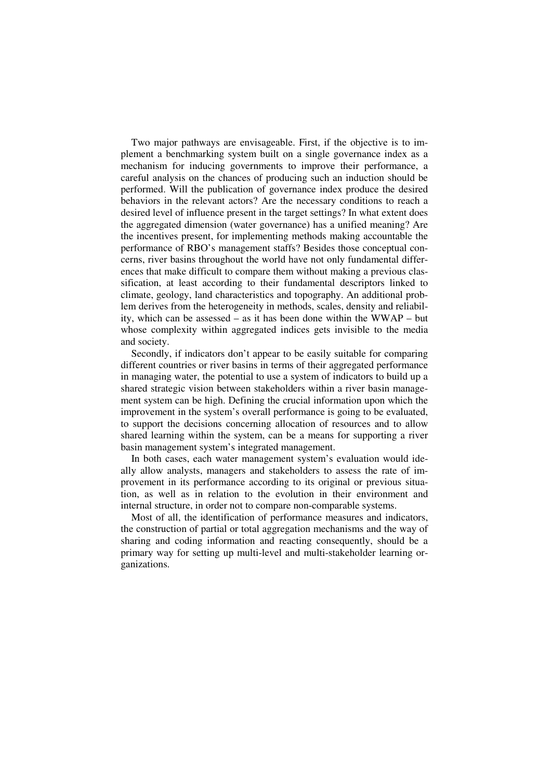Two major pathways are envisageable. First, if the objective is to implement a benchmarking system built on a single governance index as a mechanism for inducing governments to improve their performance, a careful analysis on the chances of producing such an induction should be performed. Will the publication of governance index produce the desired behaviors in the relevant actors? Are the necessary conditions to reach a desired level of influence present in the target settings? In what extent does the aggregated dimension (water governance) has a unified meaning? Are the incentives present, for implementing methods making accountable the performance of RBO's management staffs? Besides those conceptual concerns, river basins throughout the world have not only fundamental differences that make difficult to compare them without making a previous classification, at least according to their fundamental descriptors linked to climate, geology, land characteristics and topography. An additional problem derives from the heterogeneity in methods, scales, density and reliability, which can be assessed – as it has been done within the WWAP – but whose complexity within aggregated indices gets invisible to the media and society.

Secondly, if indicators don't appear to be easily suitable for comparing different countries or river basins in terms of their aggregated performance in managing water, the potential to use a system of indicators to build up a shared strategic vision between stakeholders within a river basin management system can be high. Defining the crucial information upon which the improvement in the system's overall performance is going to be evaluated, to support the decisions concerning allocation of resources and to allow shared learning within the system, can be a means for supporting a river basin management system's integrated management.

In both cases, each water management system's evaluation would ideally allow analysts, managers and stakeholders to assess the rate of improvement in its performance according to its original or previous situation, as well as in relation to the evolution in their environment and internal structure, in order not to compare non-comparable systems.

Most of all, the identification of performance measures and indicators, the construction of partial or total aggregation mechanisms and the way of sharing and coding information and reacting consequently, should be a primary way for setting up multi-level and multi-stakeholder learning organizations.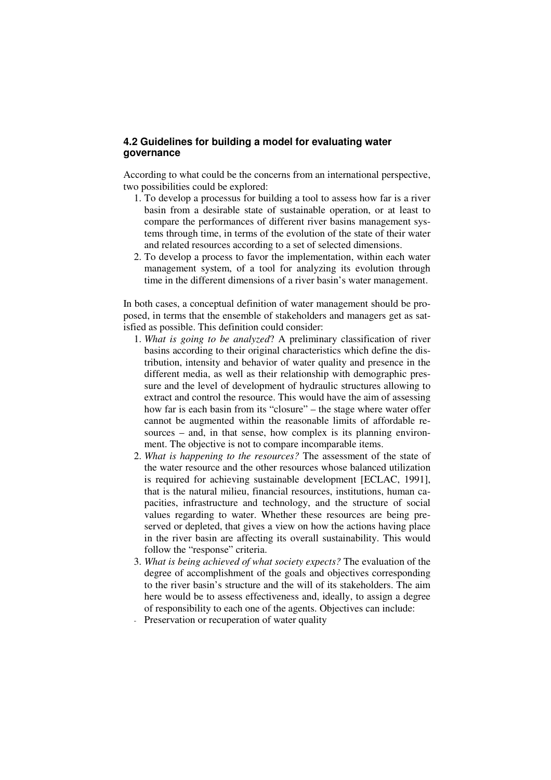# **4.2 Guidelines for building a model for evaluating water governance**

According to what could be the concerns from an international perspective, two possibilities could be explored:

- 1. To develop a processus for building a tool to assess how far is a river basin from a desirable state of sustainable operation, or at least to compare the performances of different river basins management systems through time, in terms of the evolution of the state of their water and related resources according to a set of selected dimensions.
- 2. To develop a process to favor the implementation, within each water management system, of a tool for analyzing its evolution through time in the different dimensions of a river basin's water management.

In both cases, a conceptual definition of water management should be proposed, in terms that the ensemble of stakeholders and managers get as satisfied as possible. This definition could consider:

- 1. *What is going to be analyzed*? A preliminary classification of river basins according to their original characteristics which define the distribution, intensity and behavior of water quality and presence in the different media, as well as their relationship with demographic pressure and the level of development of hydraulic structures allowing to extract and control the resource. This would have the aim of assessing how far is each basin from its "closure" – the stage where water offer cannot be augmented within the reasonable limits of affordable resources – and, in that sense, how complex is its planning environment. The objective is not to compare incomparable items.
- 2. *What is happening to the resources?* The assessment of the state of the water resource and the other resources whose balanced utilization is required for achieving sustainable development [ECLAC, 1991], that is the natural milieu, financial resources, institutions, human capacities, infrastructure and technology, and the structure of social values regarding to water. Whether these resources are being preserved or depleted, that gives a view on how the actions having place in the river basin are affecting its overall sustainability. This would follow the "response" criteria.
- 3. *What is being achieved of what society expects?* The evaluation of the degree of accomplishment of the goals and objectives corresponding to the river basin's structure and the will of its stakeholders. The aim here would be to assess effectiveness and, ideally, to assign a degree of responsibility to each one of the agents. Objectives can include:
- Preservation or recuperation of water quality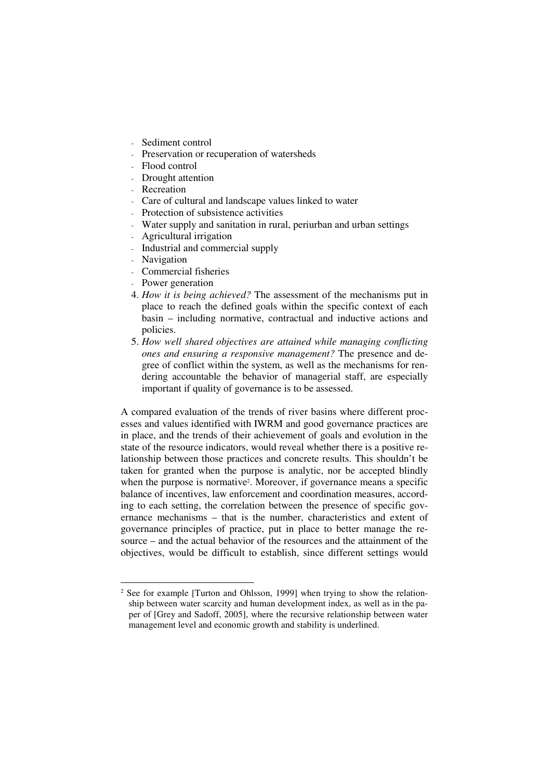- Sediment control
- Preservation or recuperation of watersheds
- Flood control
- Drought attention
- Recreation
- Care of cultural and landscape values linked to water
- Protection of subsistence activities
- Water supply and sanitation in rural, periurban and urban settings
- Agricultural irrigation
- Industrial and commercial supply
- **Navigation**

- Commercial fisheries
- Power generation
- 4. *How it is being achieved?* The assessment of the mechanisms put in place to reach the defined goals within the specific context of each basin – including normative, contractual and inductive actions and policies.
- 5. *How well shared objectives are attained while managing conflicting ones and ensuring a responsive management?* The presence and degree of conflict within the system, as well as the mechanisms for rendering accountable the behavior of managerial staff, are especially important if quality of governance is to be assessed.

A compared evaluation of the trends of river basins where different processes and values identified with IWRM and good governance practices are in place, and the trends of their achievement of goals and evolution in the state of the resource indicators, would reveal whether there is a positive relationship between those practices and concrete results. This shouldn't be taken for granted when the purpose is analytic, nor be accepted blindly when the purpose is normative<sup>2</sup>. Moreover, if governance means a specific balance of incentives, law enforcement and coordination measures, according to each setting, the correlation between the presence of specific governance mechanisms – that is the number, characteristics and extent of governance principles of practice, put in place to better manage the resource – and the actual behavior of the resources and the attainment of the objectives, would be difficult to establish, since different settings would

<sup>&</sup>lt;sup>2</sup> See for example [Turton and Ohlsson, 1999] when trying to show the relationship between water scarcity and human development index, as well as in the paper of [Grey and Sadoff, 2005], where the recursive relationship between water management level and economic growth and stability is underlined.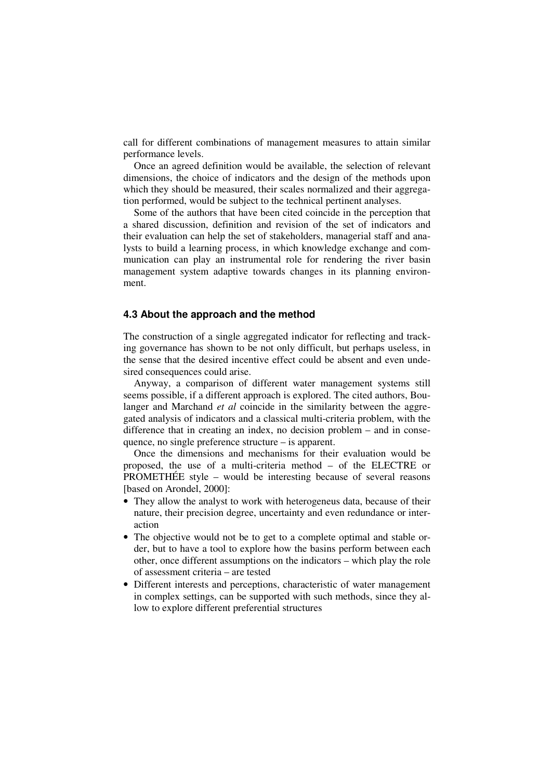call for different combinations of management measures to attain similar performance levels.

Once an agreed definition would be available, the selection of relevant dimensions, the choice of indicators and the design of the methods upon which they should be measured, their scales normalized and their aggregation performed, would be subject to the technical pertinent analyses.

Some of the authors that have been cited coincide in the perception that a shared discussion, definition and revision of the set of indicators and their evaluation can help the set of stakeholders, managerial staff and analysts to build a learning process, in which knowledge exchange and communication can play an instrumental role for rendering the river basin management system adaptive towards changes in its planning environment.

#### **4.3 About the approach and the method**

The construction of a single aggregated indicator for reflecting and tracking governance has shown to be not only difficult, but perhaps useless, in the sense that the desired incentive effect could be absent and even undesired consequences could arise.

Anyway, a comparison of different water management systems still seems possible, if a different approach is explored. The cited authors, Boulanger and Marchand *et al* coincide in the similarity between the aggregated analysis of indicators and a classical multi-criteria problem, with the difference that in creating an index, no decision problem – and in consequence, no single preference structure – is apparent.

Once the dimensions and mechanisms for their evaluation would be proposed, the use of a multi-criteria method – of the ELECTRE or PROMETHÉE style – would be interesting because of several reasons [based on Arondel, 2000]:

- They allow the analyst to work with heterogeneus data, because of their nature, their precision degree, uncertainty and even redundance or interaction
- The objective would not be to get to a complete optimal and stable order, but to have a tool to explore how the basins perform between each other, once different assumptions on the indicators – which play the role of assessment criteria – are tested
- Different interests and perceptions, characteristic of water management in complex settings, can be supported with such methods, since they allow to explore different preferential structures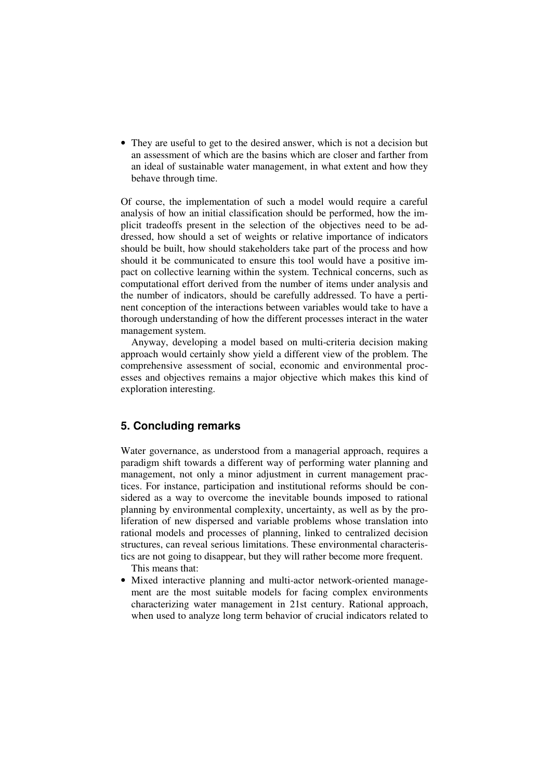• They are useful to get to the desired answer, which is not a decision but an assessment of which are the basins which are closer and farther from an ideal of sustainable water management, in what extent and how they behave through time.

Of course, the implementation of such a model would require a careful analysis of how an initial classification should be performed, how the implicit tradeoffs present in the selection of the objectives need to be addressed, how should a set of weights or relative importance of indicators should be built, how should stakeholders take part of the process and how should it be communicated to ensure this tool would have a positive impact on collective learning within the system. Technical concerns, such as computational effort derived from the number of items under analysis and the number of indicators, should be carefully addressed. To have a pertinent conception of the interactions between variables would take to have a thorough understanding of how the different processes interact in the water management system.

Anyway, developing a model based on multi-criteria decision making approach would certainly show yield a different view of the problem. The comprehensive assessment of social, economic and environmental processes and objectives remains a major objective which makes this kind of exploration interesting.

# **5. Concluding remarks**

Water governance, as understood from a managerial approach, requires a paradigm shift towards a different way of performing water planning and management, not only a minor adjustment in current management practices. For instance, participation and institutional reforms should be considered as a way to overcome the inevitable bounds imposed to rational planning by environmental complexity, uncertainty, as well as by the proliferation of new dispersed and variable problems whose translation into rational models and processes of planning, linked to centralized decision structures, can reveal serious limitations. These environmental characteristics are not going to disappear, but they will rather become more frequent.

This means that:

• Mixed interactive planning and multi-actor network-oriented management are the most suitable models for facing complex environments characterizing water management in 21st century. Rational approach, when used to analyze long term behavior of crucial indicators related to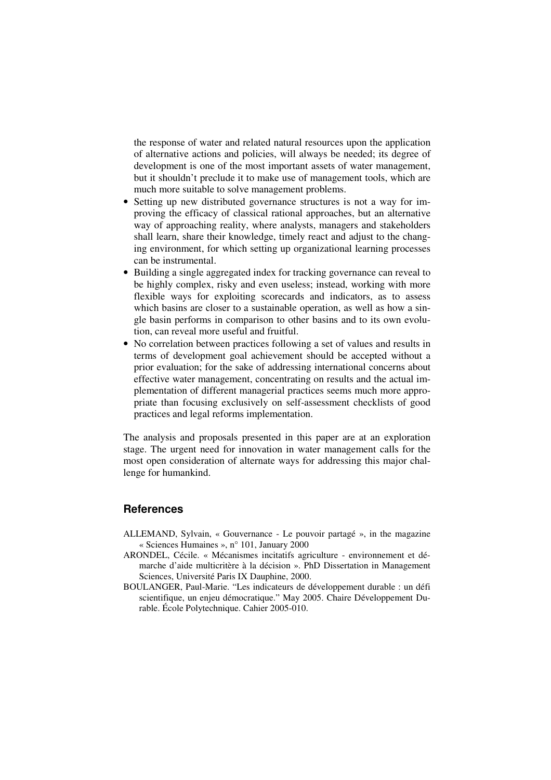the response of water and related natural resources upon the application of alternative actions and policies, will always be needed; its degree of development is one of the most important assets of water management, but it shouldn't preclude it to make use of management tools, which are much more suitable to solve management problems.

- Setting up new distributed governance structures is not a way for improving the efficacy of classical rational approaches, but an alternative way of approaching reality, where analysts, managers and stakeholders shall learn, share their knowledge, timely react and adjust to the changing environment, for which setting up organizational learning processes can be instrumental.
- Building a single aggregated index for tracking governance can reveal to be highly complex, risky and even useless; instead, working with more flexible ways for exploiting scorecards and indicators, as to assess which basins are closer to a sustainable operation, as well as how a single basin performs in comparison to other basins and to its own evolution, can reveal more useful and fruitful.
- No correlation between practices following a set of values and results in terms of development goal achievement should be accepted without a prior evaluation; for the sake of addressing international concerns about effective water management, concentrating on results and the actual implementation of different managerial practices seems much more appropriate than focusing exclusively on self-assessment checklists of good practices and legal reforms implementation.

The analysis and proposals presented in this paper are at an exploration stage. The urgent need for innovation in water management calls for the most open consideration of alternate ways for addressing this major challenge for humankind.

#### **References**

- ALLEMAND, Sylvain, « Gouvernance Le pouvoir partagé », in the magazine « Sciences Humaines », n° 101, January 2000
- ARONDEL, Cécile. « Mécanismes incitatifs agriculture environnement et démarche d'aide multicritère à la décision ». PhD Dissertation in Management Sciences, Université Paris IX Dauphine, 2000.
- BOULANGER, Paul-Marie. "Les indicateurs de développement durable : un défi scientifique, un enjeu démocratique." May 2005. Chaire Développement Durable. École Polytechnique. Cahier 2005-010.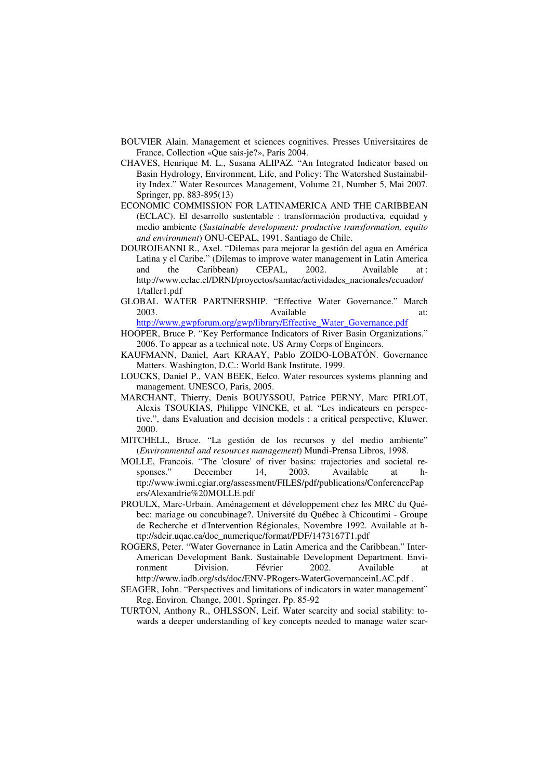- BOUVIER Alain. Management et sciences cognitives. Presses Universitaires de France, Collection «Que sais-je?», Paris 2004.
- CHAVES, Henrique M. L., Susana ALIPAZ. "An Integrated Indicator based on Basin Hydrology, Environment, Life, and Policy: The Watershed Sustainability Index." Water Resources Management, Volume 21, Number 5, Mai 2007. Springer, pp. 883-895(13)
- ECONOMIC COMMISSION FOR LATINAMERICA AND THE CARIBBEAN (ECLAC). El desarrollo sustentable : transformación productiva, equidad y medio ambiente (*Sustainable development: productive transformation, equito and environment*) ONU-CEPAL, 1991. Santiago de Chile.
- DOUROJEANNI R., Axel. "Dilemas para mejorar la gestión del agua en América Latina y el Caribe." (Dilemas to improve water management in Latin America and the Caribbean) CEPAL, 2002. Available at : http://www.eclac.cl/DRNI/proyectos/samtac/actividades\_nacionales/ecuador/ 1/taller1.pdf
- GLOBAL WATER PARTNERSHIP. "Effective Water Governance." March 2003. Available at:

http://www.gwpforum.org/gwp/library/Effective\_Water\_Governance.pdf

- HOOPER, Bruce P. "Key Performance Indicators of River Basin Organizations." 2006. To appear as a technical note. US Army Corps of Engineers.
- KAUFMANN, Daniel, Aart KRAAY, Pablo ZOIDO-LOBATÓN. Governance Matters. Washington, D.C.: World Bank Institute, 1999.
- LOUCKS, Daniel P., VAN BEEK, Eelco. Water resources systems planning and management. UNESCO, Paris, 2005.
- MARCHANT, Thierry, Denis BOUYSSOU, Patrice PERNY, Marc PIRLOT, Alexis TSOUKIAS, Philippe VINCKE, et al. "Les indicateurs en perspective.", dans Evaluation and decision models : a critical perspective, Kluwer. 2000.
- MITCHELL, Bruce. "La gestión de los recursos y del medio ambiente" (*Environmental and resources management*) Mundi-Prensa Libros, 1998.
- MOLLE, Francois. "The 'closure' of river basins: trajectories and societal responses." December 14, 2003. Available at http://www.iwmi.cgiar.org/assessment/FILES/pdf/publications/ConferencePap ers/Alexandrie%20MOLLE.pdf
- PROULX, Marc-Urbain. Aménagement et développement chez les MRC du Québec: mariage ou concubinage?. Université du Québec à Chicoutimi - Groupe de Recherche et d'Intervention Régionales, Novembre 1992. Available at http://sdeir.uqac.ca/doc\_numerique/format/PDF/1473167T1.pdf
- ROGERS, Peter. "Water Governance in Latin America and the Caribbean." Inter-American Development Bank. Sustainable Development Department. Environment Division. Février 2002. Available at http://www.iadb.org/sds/doc/ENV-PRogers-WaterGovernanceinLAC.pdf .
- SEAGER, John. "Perspectives and limitations of indicators in water management" Reg. Environ. Change, 2001. Springer. Pp. 85-92
- TURTON, Anthony R., OHLSSON, Leif. Water scarcity and social stability: towards a deeper understanding of key concepts needed to manage water scar-